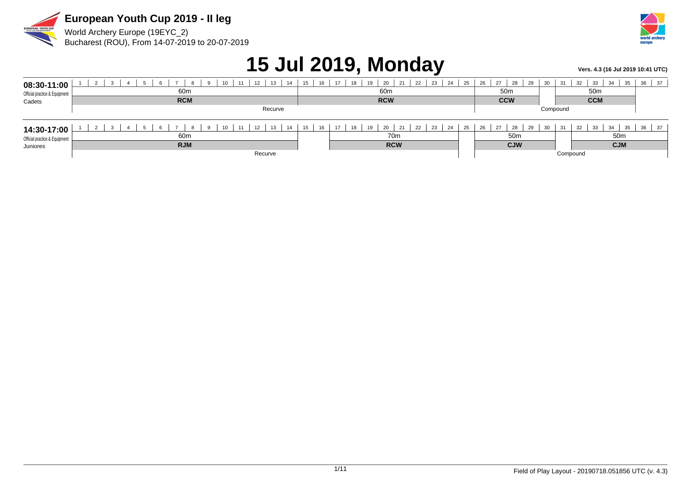

Bucharest (ROU), From 14-07-2019 to 20-07-2019

World Archery Europe (19EYC\_2)



## **15 Jul 2019, Monday** *Vers. 4.3 (16 Jul 2019 10:41 UTC***)**

| 08:30-11:00<br>Official practice & Equipment<br>Cadets | 12<br>11<br>13<br>14<br>10<br>60m<br><b>RCM</b> | 16<br>15 | 19<br>20<br>17<br>22<br>23<br>24<br>18<br>21<br>60 <sub>m</sub><br><b>RCW</b> | 25       | 28<br>26<br>27<br>50 <sub>m</sub><br><b>CCW</b> | 29<br>$\sim$<br>ບບ | 31       | 32<br>33<br>34<br>35<br>50 <sub>m</sub><br><b>CCM</b> | 37<br>36 |
|--------------------------------------------------------|-------------------------------------------------|----------|-------------------------------------------------------------------------------|----------|-------------------------------------------------|--------------------|----------|-------------------------------------------------------|----------|
|                                                        | Recurve                                         |          |                                                                               |          |                                                 |                    | Compound |                                                       |          |
| 14:30-17:00                                            | 12<br>13<br>11<br>14<br>10                      | 15<br>16 | 19<br>17<br>20<br>21<br>22<br>23<br>18<br>24                                  | 25       | 28<br>26<br>27                                  | 29<br>$\sim$       | 31       | 34<br>33<br>35<br>32                                  | 37<br>36 |
| Official practice & Equipment                          | 60m                                             |          | 70 <sub>m</sub>                                                               |          | 50 <sub>m</sub>                                 |                    |          | 50 <sub>m</sub>                                       |          |
| Juniores                                               | <b>RJM</b>                                      |          | <b>RCW</b>                                                                    |          | <b>CJW</b>                                      |                    |          | <b>CJM</b>                                            |          |
|                                                        | Recurve                                         |          |                                                                               | Compound |                                                 |                    |          |                                                       |          |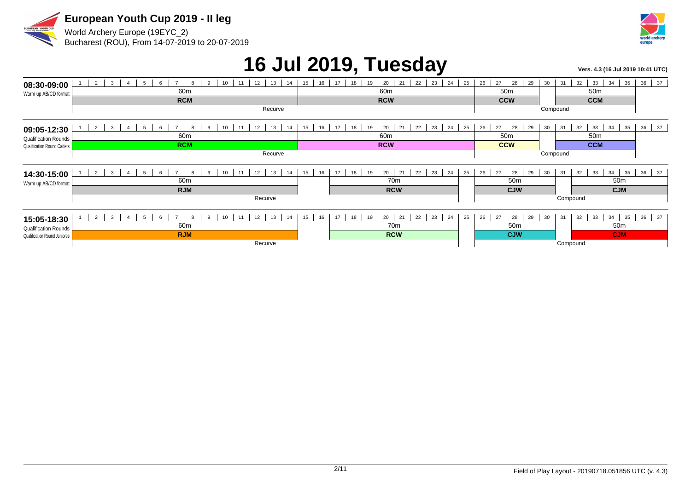

Bucharest (ROU), From 14-07-2019 to 20-07-2019



## 16 Jul 2019, Tuesday *Vers. 4.3 (16 Jul 2019 10:41 UTC***)**

| 08:30-09:00                                                 | 2<br>3 <sup>3</sup><br>12<br>13<br>-5<br>11<br>14<br>6<br>$\mathbf{Q}$<br>10<br>$\overline{4}$<br>-8 | 22<br>23<br>24<br>25<br>16<br>17<br>20<br>15<br>19<br>21<br>18 | 26<br>27<br>28<br>29<br>30 | 37<br>32<br>33<br>35<br>36<br>31<br>34 |
|-------------------------------------------------------------|------------------------------------------------------------------------------------------------------|----------------------------------------------------------------|----------------------------|----------------------------------------|
| Warm up AB/CD format                                        | 60 <sub>m</sub>                                                                                      | 60 <sub>m</sub>                                                | 50 <sub>m</sub>            | 50 <sub>m</sub>                        |
|                                                             | <b>RCM</b>                                                                                           | <b>RCW</b>                                                     | <b>CCW</b>                 | <b>CCM</b>                             |
|                                                             | Recurve                                                                                              |                                                                |                            | Compound                               |
| 09:05-12:30                                                 | $\mathbf{3}$<br>$\overline{2}$<br>$\overline{ }$<br>12<br>13<br>14<br>5<br>$\Omega$                  | 20<br>22<br>23<br>24<br>21<br>25<br>15<br>16<br>17<br>18<br>19 | 26<br>27<br>28<br>29<br>30 | 36 37<br>32<br>33<br>35<br>31<br>34    |
| <b>Qualification Rounds</b>                                 | 60m                                                                                                  | 60 <sub>m</sub>                                                | 50 <sub>m</sub>            | 50 <sub>m</sub>                        |
| Qualification Round Cadets                                  | <b>RCM</b>                                                                                           | <b>RCW</b>                                                     | <b>CCW</b>                 | <b>CCM</b>                             |
|                                                             | Recurve                                                                                              |                                                                |                            | Compound                               |
| 14:30-15:00                                                 | 12<br>2<br>13<br>3<br>14                                                                             | 22<br>20<br>23<br>24<br>25<br>17<br>21<br>15<br>16<br>19<br>18 | 26<br>27<br>28<br>29<br>30 | 35<br>36<br>31<br>32<br>33<br>34<br>37 |
| Warm up AB/CD format                                        | 60 <sub>m</sub>                                                                                      | 70 <sub>m</sub>                                                | 50 <sub>m</sub>            | 50 <sub>m</sub>                        |
|                                                             | <b>RJM</b>                                                                                           | <b>RCW</b>                                                     | <b>CJW</b>                 | <b>CJM</b>                             |
|                                                             | Recurve                                                                                              |                                                                |                            | Compound                               |
| 15:05-18:30                                                 | $\overline{ }$                                                                                       |                                                                |                            |                                        |
|                                                             | 2<br>$\mathbf{3}$<br>12<br>13<br>11<br>14                                                            | 20<br>22<br>23<br>24<br>16<br>17<br>21<br>25<br>15<br>19<br>18 | 26<br>27<br>28<br>29<br>30 | 36<br>37<br>32<br>33<br>35<br>31<br>34 |
|                                                             | 60m                                                                                                  | 70m                                                            | 50 <sub>m</sub>            | 50m                                    |
| <b>Qualification Rounds</b><br>Qualification Round Juniores | <b>RJM</b>                                                                                           | <b>RCW</b>                                                     | <b>CJW</b>                 | <b>CJM</b>                             |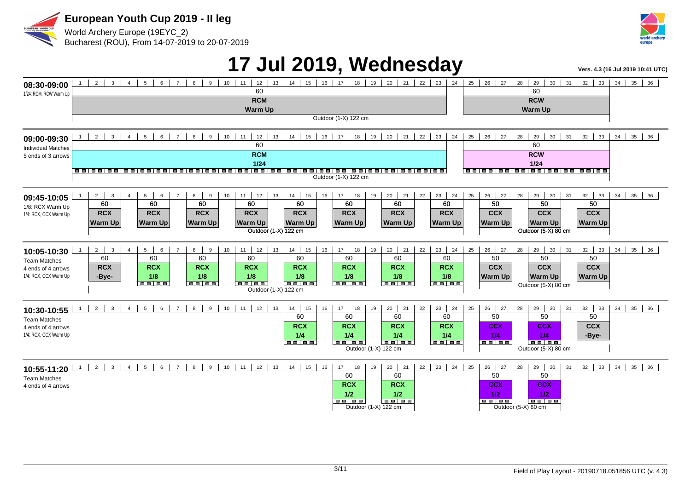

World Archery Europe (19EYC\_2) Bucharest (ROU), From 14-07-2019 to 20-07-2019



### **17 Jul 2019, Wednesday Vers. 4.3 (16 Jul 2019 10:41 UTC)**

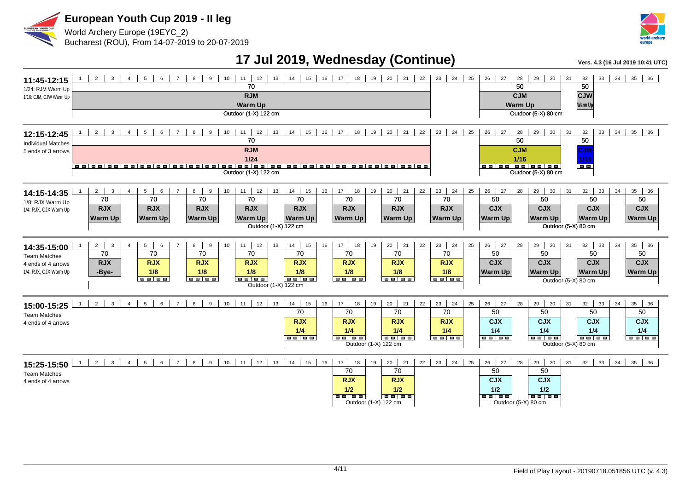



#### **17 Jul 2019, Wednesday (Continue) Vers. 4.3 (16 Jul 2019 10:41 UTC)**

| 11:45-12:15<br>1/24: RJM Warm Up<br>1/16: CJM, CJW Warm Up                        | 2 <sup>1</sup><br>$\overline{\mathbf{3}}$<br>$5-1$<br>6<br>$\overline{7}$<br>$8 \mid 9 \mid$<br>10<br>$\overline{4}$<br>11<br>12<br>70<br><b>RJM</b><br><b>Warm Up</b><br>Outdoor (1-X) 122 cm                                                                                                                                         | $13$   $14$   $15$   $16$   $17$   $18$   $19$   $20$   $21$   $22$  <br>$23 \mid 24 \mid 25 \mid$                                                                                                                                                          | 26 27<br>28<br>29<br>34<br>35<br>30 <sup>1</sup><br>31<br>32<br>33<br>36<br>50<br>50<br><b>CJM</b><br><b>CJW</b><br><b>Warm Up</b><br><b>Warm Up</b><br>Outdoor (5-X) 80 cm                                                                    |
|-----------------------------------------------------------------------------------|----------------------------------------------------------------------------------------------------------------------------------------------------------------------------------------------------------------------------------------------------------------------------------------------------------------------------------------|-------------------------------------------------------------------------------------------------------------------------------------------------------------------------------------------------------------------------------------------------------------|------------------------------------------------------------------------------------------------------------------------------------------------------------------------------------------------------------------------------------------------|
| 12:15-12:45<br><b>Individual Matches</b><br>5 ends of 3 arrows                    | 3 <sup>1</sup><br>$5 \mid$<br>$6 \mid$<br>10<br>$11$ 12<br>13<br>$14$ 15<br>$2 \mid$<br>$\overline{4}$<br>$\overline{7}$<br>9<br>8<br>70<br><b>RJM</b><br>1/24<br><u> colosicalesicales colosicales colosicales colosicales colosicales</u><br>Outdoor (1-X) 122 cm                                                                    | 19   20   21   22  <br>$16$   17  <br>18<br>$23 \mid 24 \mid 25 \mid$                                                                                                                                                                                       | 26   27  <br>28<br>29 30<br>35<br>31<br>32<br>33<br>34<br>36<br>50<br>$\overline{50}$<br><b>CJM</b><br>CJW<br>1/16<br>1/16<br><b>Belee   ee   ee   ee  </b><br><b>TELE</b><br>Outdoor (5-X) 80 cm                                              |
| 14:15-14:35<br>1/8: RJX Warm Up<br>1/4: RJX, CJX Warm Up                          | 11<br>14<br>$2 \mid$<br>$\mathbf{3}$<br>$5-1$<br>10<br>12<br>13<br>15<br>16<br>$\overline{4}$<br>6<br>8<br>9<br>70<br>70<br>70<br>70<br>70<br><b>RJX</b><br><b>RJX</b><br><b>RJX</b><br><b>RJX</b><br><b>RJX</b><br><b>Warm Up</b><br><b>Warm Up</b><br><b>Warm Up</b><br><b>Warm Up</b><br><b>Warm Up</b><br>Outdoor (1-X) 122 cm     | 20<br>22<br>23   24<br>17<br>18<br>19<br>21<br>25<br>70<br>70<br>70<br><b>RJX</b><br><b>RJX</b><br><b>RJX</b><br><b>Warm Up</b><br><b>Warm Up</b><br><b>Warm Up</b>                                                                                         | $26$   27<br>28<br>29<br>30<br>31<br>32<br>35<br>33<br>34<br>36<br>50<br>50<br>50<br>50<br><b>CJX</b><br><b>CJX</b><br><b>CJX</b><br><b>CJX</b><br><b>Warm Up</b><br><b>Warm Up</b><br><b>Warm Up</b><br><b>Warm Up</b><br>Outdoor (5-X) 80 cm |
| 14:35-15:00<br><b>Team Matches</b><br>4 ends of 4 arrows<br>1/4: RJX, CJX Warm Up | $5 \mid$<br>$8 \mid 9$<br>$11$   12<br>$14$ 15<br>$2 \mid$<br>$\overline{7}$<br>10<br>13<br>16<br>$\mathbf{3}$<br>$\overline{4}$<br>6<br>70<br>70<br>70<br>70<br>70<br><b>RJX</b><br><b>RJX</b><br><b>RJX</b><br><b>RJX</b><br><b>RJX</b><br>1/8<br>1/8<br>1/8<br>-Bye-<br>1/8<br><b>BB BB</b><br><b>BB BB</b><br>Outdoor (1-X) 122 cm | 17<br>$20 \mid 21$<br>$23 \mid 24$<br>18<br>19<br>22<br>25<br>70<br>70<br>70<br><b>RJX</b><br><b>RJX</b><br><b>RJX</b><br>1/8<br>1/8<br>1/8<br><b>BB BB</b><br><b>BB BB</b>                                                                                 | 26 27<br>29<br>32<br>28<br>30<br>31<br>33<br>34<br>35<br>36<br>50<br>50<br>50<br>50<br><b>CJX</b><br><b>CJX</b><br><b>CJX</b><br><b>CJX</b><br><b>Warm Up</b><br><b>Warm Up</b><br><b>Warm Up</b><br><b>Warm Up</b><br>Outdoor (5-X) 80 cm     |
| 15:00-15:25<br><b>Team Matches</b><br>4 ends of 4 arrows                          | $14$ 15<br>$2 \mid$<br>6 7 8 9<br>$10$ 11 12 13<br>3<br>$5 \mid$<br>16<br>$1 \quad$<br>4<br>70<br><b>RJX</b><br>1/4<br><b>.</b>                                                                                                                                                                                                        | $23 \mid 24$<br>17<br>$20 \mid 21 \mid$<br>18<br>19<br>22<br>25<br>70<br>70<br>70<br><b>RJX</b><br><b>RJX</b><br><b>RJX</b><br>1/4<br>1/4<br>1/4<br>$\blacksquare$ $\blacksquare$ $\blacksquare$ $\blacksquare$<br><del>ooloo</del><br>Outdoor (1-X) 122 cm | 26 27<br>$29 \mid 30$<br>32<br>$35 \mid 36$<br>28<br>31<br>33<br>34<br>50<br>50<br>50<br>50<br><b>CJX</b><br><b>CJX</b><br><b>CJX</b><br><b>CJX</b><br>1/4<br>1/4<br>1/4<br>1/4<br><b>BB BB</b><br><b>THE THE</b><br>Outdoor (5-X) 80 cm       |
| 15:25-15:50<br><b>Team Matches</b><br>4 ends of 4 arrows                          | $6 \mid 7 \mid 8 \mid 9 \mid$<br>$10$ 11<br>12<br>13<br>$14$ 15 16<br>$2 \mid$<br>$3^{\circ}$<br>$5 \mid$<br>$\overline{4}$<br>$\overline{1}$                                                                                                                                                                                          | 17<br>$20 \mid 21$<br>$22 \mid 23 \mid 24 \mid 25$<br>19<br>18<br>70<br>70<br><b>RJX</b><br><b>RJX</b><br>1/2<br>1/2<br><b>BB 88</b><br><b>.</b><br>Outdoor (1-X) 122 cm                                                                                    | 26 27<br>28<br>29<br>32<br>30<br>31<br>33<br>34<br>35<br>36<br>50<br>50<br><b>CJX</b><br><b>CJX</b><br>1/2<br>1/2<br><b>BB 88</b><br><b>BB BB</b><br>Outdoor (5-X) 80 cm                                                                       |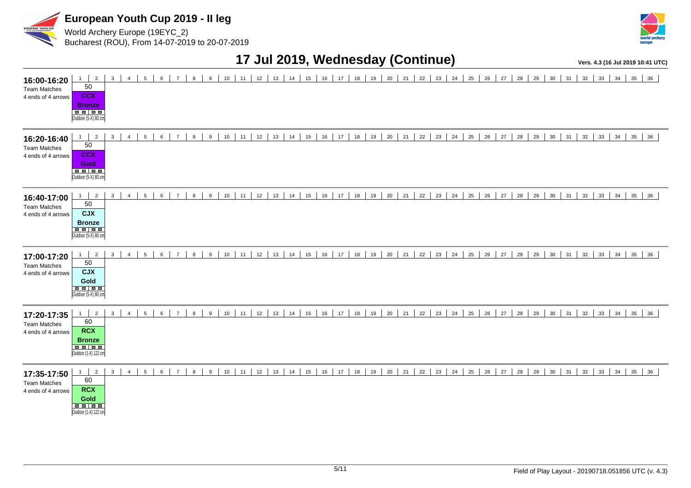

World Archery Europe (19EYC\_2) Bucharest (ROU), From 14-07-2019 to 20-07-2019



#### **17 Jul 2019, Wednesday (Continue) Vers. 4.3 (16 Jul 2019 10:41 UTC)**

| 16:00-16:20<br><b>Team Matches</b><br>4 ends of 4 arrows | $1 \mid$<br>$\overline{2}$<br>50<br><b>CCX</b><br><b>Bronze</b><br><b>BB 88</b><br>Outdoor (5-X) 80 cm | $\mathbf{3}$<br>5<br>$\overline{4}$    | 6<br>$\overline{7}$<br>8              | 10<br>9                | 12<br>13<br>11           | 15<br>14 | 16<br>17<br>18 | 20<br>21<br>19 | 22<br>23<br>24 | 25<br>26 | 27<br>28<br>29 | 30<br>31<br>32 | 33<br>34<br>35<br>36 |
|----------------------------------------------------------|--------------------------------------------------------------------------------------------------------|----------------------------------------|---------------------------------------|------------------------|--------------------------|----------|----------------|----------------|----------------|----------|----------------|----------------|----------------------|
| 16:20-16:40<br><b>Team Matches</b><br>4 ends of 4 arrows | $\overline{2}$<br>1<br>50<br><b>CCX</b><br><b>Gold</b><br><b>BEE</b><br>Outdoor (5-X) 80 cm            | $\overline{4}$<br>5<br>$\mathbf{3}$    | 6<br>$\overline{7}$<br>8              | 9<br>10                | 12<br>13<br>11           | 14<br>15 | 16<br>17<br>18 | 19<br>20<br>21 | 22<br>23<br>24 | 25<br>26 | 27<br>28<br>29 | 30<br>31<br>32 | 34<br>33<br>35<br>36 |
| 16:40-17:00<br><b>Team Matches</b><br>4 ends of 4 arrows | $\overline{2}$<br>1<br>50<br><b>CJX</b><br><b>Bronze</b><br>Outdoor (5-X) 80 cm                        | $\mathbf{3}$<br>5<br>$\overline{4}$    | 6<br>$\overline{7}$<br>8              | $\boldsymbol{9}$<br>10 | 12<br>11<br>13           | 15<br>14 | 16<br>17<br>18 | 20<br>21<br>19 | 22<br>23<br>24 | 25<br>26 | 27<br>28<br>29 | 30<br>32<br>31 | 34<br>35<br>33<br>36 |
| 17:00-17:20<br><b>Team Matches</b><br>4 ends of 4 arrows | $\overline{2}$<br>1<br>50<br><b>CJX</b><br>Gold<br>Outdoor (5-X) 80 cm                                 | $\mathbf{3}$<br>$\overline{4}$<br>5    | 6<br>$\overline{7}$<br>8              | 9<br>10                | 12<br>13<br>11           | 15<br>14 | 16<br>17<br>18 | 19<br>20<br>21 | 22<br>23<br>24 | 25<br>26 | 28<br>27<br>29 | 30<br>32<br>31 | 34<br>35<br>33<br>36 |
| 17:20-17:35<br><b>Team Matches</b><br>4 ends of 4 arrows | 1<br>$\overline{2}$<br>60<br><b>RCX</b><br><b>Bronze</b><br>Outdoor (1-X) 122 cm                       | $\overline{4}$<br>$5\overline{5}$<br>3 | $6\phantom{a}$<br>8<br>$\overline{7}$ | 9<br>10 <sup>1</sup>   | 12<br>$13 \mid 14$<br>11 | 15       | 16<br>17<br>18 | 20<br>19<br>21 | 22<br>23<br>24 | 25<br>26 | 28<br>29<br>27 | 30<br>31<br>32 | 33<br>34<br>35<br>36 |
| 17:35-17:50<br><b>Team Matches</b><br>4 ends of 4 arrows | $\overline{2}$<br>1<br>60<br><b>RCX</b><br>Gold<br>Outdoor (1-X) 122 cm                                | $\mathbf{3}$<br>$\overline{4}$<br>5    | 6<br>8<br>$\overline{7}$              | 9<br>10                | 12<br>13<br>11           | 14<br>15 | 16<br>17<br>18 | 20<br>21<br>19 | 22<br>23<br>24 | 25<br>26 | 28<br>29<br>27 | 30<br>31<br>32 | 33<br>34<br>35<br>36 |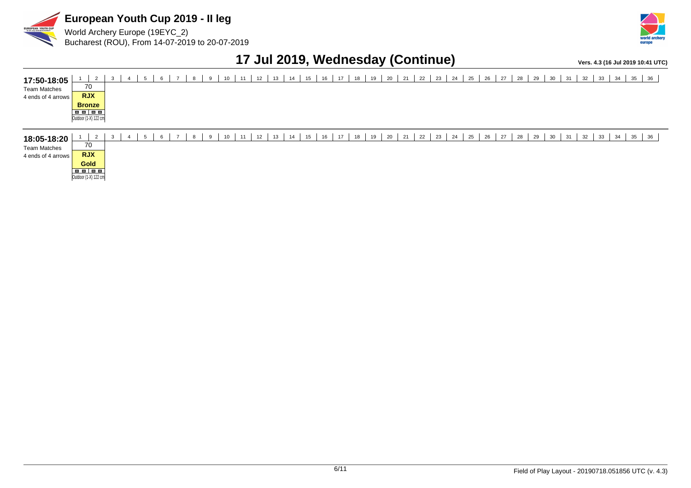

World Archery Europe (19EYC\_2) Bucharest (ROU), From 14-07-2019 to 20-07-2019



#### **17 Jul 2019, Wednesday (Continue) Vers. 4.3 (16 Jul 2019 10:41 UTC)**

| 17:50-18:05<br><b>Team Matches</b><br>4 ends of 4 arrows | $\overline{2}$<br>70<br><b>RJX</b><br><b>Bronze</b><br>Outdoor (1-X) 122 cm | 3<br>-4  |     | 9 | 10<br>11 | 12 | 13<br>14 | 15 | 16<br>17 | 18 | 20<br>19 | 21 | 22 | 23<br>24 | 25 | 26<br>27 | 28 | 29 | 30<br>31 | 32 | 33<br>34 | 35<br>36     |  |
|----------------------------------------------------------|-----------------------------------------------------------------------------|----------|-----|---|----------|----|----------|----|----------|----|----------|----|----|----------|----|----------|----|----|----------|----|----------|--------------|--|
| 18:05-18:20<br><b>Team Matches</b><br>4 ends of 4 arrows | $\mathcal{L}$<br>70<br><b>RJX</b><br><b>Gold</b><br>Outdoor (1-X) 122 cm    | 3<br>- 4 | . ა | 8 | 11<br>10 | 12 | 14<br>13 | 15 | 16<br>17 | 18 | 20<br>19 | 21 | 22 | 23<br>24 | 25 | 27<br>26 | 28 | 29 | 30<br>31 | 32 | 33<br>34 | $35 \mid 36$ |  |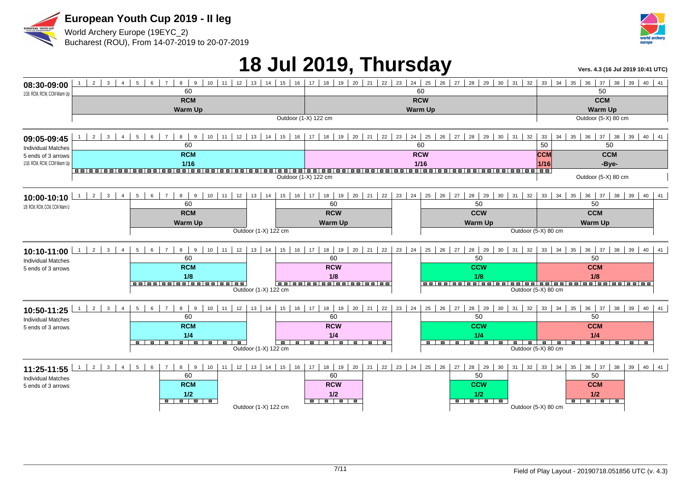



World Archery Europe (19EYC\_2) Bucharest (ROU), From 14-07-2019 to 20-07-2019

## **18 Jul 2019, Thursday Vers. 4.3 (16 Jul 2019 10:41 UTC)**

| 08:30-09:00                    | $2 \mid 3 \mid$<br>$\overline{4}$        | $8 \mid 9 \mid$<br>$5-1$<br>$6-1$<br>$\overline{7}$                            | $10$   11   12   13   14   15   16               |                                                                                              |                               | 17   18   19   20   21   22   23   24   25   26   27   28   29   30   31   32   33   34   35   36 |                                   | 37<br>$38 \mid 39 \mid 40 \mid 41$                   |                          |  |  |  |
|--------------------------------|------------------------------------------|--------------------------------------------------------------------------------|--------------------------------------------------|----------------------------------------------------------------------------------------------|-------------------------------|---------------------------------------------------------------------------------------------------|-----------------------------------|------------------------------------------------------|--------------------------|--|--|--|
| 1/16: RCM, RCW, CCM Warm Up    |                                          | 60                                                                             |                                                  |                                                                                              | 60                            |                                                                                                   |                                   | 50                                                   |                          |  |  |  |
|                                |                                          | <b>RCM</b>                                                                     |                                                  |                                                                                              | <b>RCW</b>                    |                                                                                                   |                                   | <b>CCM</b>                                           |                          |  |  |  |
|                                |                                          | <b>Warm Up</b>                                                                 |                                                  |                                                                                              | <b>Warm Up</b>                |                                                                                                   |                                   | <b>Warm Up</b>                                       |                          |  |  |  |
|                                |                                          |                                                                                |                                                  | Outdoor (1-X) 122 cm                                                                         |                               |                                                                                                   |                                   | Outdoor (5-X) 80 cm                                  |                          |  |  |  |
| 09:05-09:45                    | $\mathbf{3}$<br>2 I<br>$\overline{4}$    | 8<br>$5\overline{5}$<br>$\overline{7}$<br>9<br>$6-1$                           | $10$   11   12   13   14   15   16               | $17$   18   19   20   21   22                                                                | 23<br>$24 \mid 25 \mid$<br>60 | $26$   27   28  <br>29<br>30<br>31                                                                | 32<br>33<br>34                    | 36<br>35<br>37<br>38                                 | 39<br>$40 \mid 41$       |  |  |  |
| <b>Individual Matches</b>      |                                          | 60                                                                             |                                                  |                                                                                              | 50                            | 50                                                                                                |                                   |                                                      |                          |  |  |  |
| 5 ends of 3 arrows             |                                          | <b>RCM</b>                                                                     |                                                  |                                                                                              | <b>CCM</b>                    | <b>CCM</b>                                                                                        |                                   |                                                      |                          |  |  |  |
| 1/16: RCM, RCW, CCM Warm Up    |                                          | 1/16                                                                           |                                                  |                                                                                              | 1/16                          | . .                                                                                               | 1/16                              | -Bye-                                                |                          |  |  |  |
|                                |                                          |                                                                                |                                                  | Outdoor (1-X) 122 cm                                                                         |                               | <b>88 88 88 88</b>                                                                                | Outdoor (5-X) 80 cm               |                                                      |                          |  |  |  |
| 10:00-10:10                    | $2 \mid 3 \mid$<br>$\overline{4}$        | 8<br>11 12<br>$\overline{7}$<br>9<br>10 <sup>1</sup><br>5<br>6                 | 13<br>15<br>$16-1$<br>14                         | 17 <sup>1</sup><br>18<br>20<br>21<br>22<br>19                                                | 23<br>24                      | $25 \mid 26 \mid 27$<br>28<br>29<br>30<br>31                                                      | 33<br>32<br>34                    | $36 \mid 37$<br>38<br>35                             | 39<br>40<br>41           |  |  |  |
| 1/8: RCM. RCW. CCM. CCW Warm U |                                          | 60                                                                             |                                                  | 60                                                                                           |                               | 50                                                                                                |                                   | 50                                                   |                          |  |  |  |
|                                |                                          | <b>RCM</b>                                                                     |                                                  | <b>RCW</b>                                                                                   |                               | <b>CCW</b>                                                                                        |                                   | <b>CCM</b>                                           |                          |  |  |  |
|                                |                                          | <b>Warm Up</b>                                                                 |                                                  | <b>Warm Up</b>                                                                               |                               |                                                                                                   | <b>Warm Up</b>                    |                                                      |                          |  |  |  |
|                                |                                          |                                                                                | Outdoor (1-X) 122 cm                             |                                                                                              |                               |                                                                                                   | Outdoor (5-X) 80 cm               |                                                      |                          |  |  |  |
| 10:10-11:00                    | $2 \mid 3 \mid$<br>$\overline{4}$        | 8 <sup>1</sup><br>$11$ 12<br>$\overline{7}$<br>9<br>10<br>$5\overline{)}$<br>6 | 15<br>$13 \mid 14$                               | 16   17   18   19   20   21  <br>$\vert$ 22 $\vert$                                          | 23<br>24                      | $25 \mid 26 \mid 27$<br>28<br>29<br>31<br>30                                                      | $33 \mid 34 \mid$<br>32           | $36 \mid 37$<br>38<br>35                             | 39<br>40 41              |  |  |  |
| <b>Individual Matches</b>      |                                          | 60                                                                             |                                                  | 60                                                                                           |                               | 50                                                                                                |                                   | 50                                                   |                          |  |  |  |
| 5 ends of 3 arrows             |                                          | <b>RCM</b>                                                                     |                                                  | <b>RCW</b>                                                                                   |                               | <b>CCW</b>                                                                                        |                                   | <b>CCM</b>                                           |                          |  |  |  |
|                                |                                          | 1/8<br>00 00 00 00 00 00 00 00                                                 |                                                  | 1/8                                                                                          |                               | 1/8                                                                                               |                                   | 1/8                                                  |                          |  |  |  |
|                                |                                          |                                                                                | Outdoor (1-X) 122 cm                             |                                                                                              |                               |                                                                                                   | Outdoor (5-X) 80 cm               |                                                      |                          |  |  |  |
| 10:50-11:25                    | $2 \mid 3 \mid$<br>$\overline{4}$        | $\overline{7}$<br>10 <sup>1</sup><br>$11$ 12<br>5<br>6<br>8<br>9               | 13<br>14<br>15<br>16                             | 17<br>$\vert$ 20 $\vert$ 21 $\vert$<br>22<br>18 19                                           | 23<br>24                      | $25 \mid 26 \mid 27$<br>28<br>29<br>30<br>31                                                      | 32<br>$33 \mid 34 \mid$           | 38<br>35<br>$36 \mid 37$                             | 39<br>40<br>41           |  |  |  |
| <b>Individual Matches</b>      |                                          | 60                                                                             |                                                  | 60                                                                                           |                               | 50                                                                                                |                                   | 50                                                   |                          |  |  |  |
| 5 ends of 3 arrows             |                                          | <b>RCM</b>                                                                     |                                                  | <b>RCW</b>                                                                                   |                               | <b>CCW</b>                                                                                        |                                   | <b>CCM</b>                                           |                          |  |  |  |
|                                |                                          | 1/4                                                                            |                                                  | 1/4                                                                                          |                               | 1/4                                                                                               |                                   | 1/4                                                  |                          |  |  |  |
|                                |                                          | <u>.</u>                                                                       | $\overline{\phantom{0}}$<br>Outdoor (1-X) 122 cm | <b>.</b><br>.                                                                                |                               | <del>.</del><br>$\overline{\phantom{a}}$                                                          | Outdoor (5-X) 80 cm               | $\overline{\phantom{a}}$<br>$\overline{\phantom{a}}$ | $\overline{\phantom{a}}$ |  |  |  |
| 11:25-11:55                    | $2 \mid 3 \mid 4 \mid$<br>1 <sup>1</sup> | 8<br>9<br>$5 \vert$<br>$\overline{7}$<br>10<br>6                               |                                                  | 11   12   13   14   15   16   17   18   19   20   21   22   23   24   25   26   27   28   29 |                               | 30                                                                                                | $31 \mid 32 \mid 33 \mid 34 \mid$ | 35 36 37 38                                          | 39   40   41             |  |  |  |
| <b>Individual Matches</b>      |                                          | 60                                                                             |                                                  | 60                                                                                           |                               | 50                                                                                                |                                   | 50                                                   |                          |  |  |  |
| 5 ends of 3 arrows             |                                          | <b>RCM</b>                                                                     |                                                  | <b>RCW</b>                                                                                   |                               | <b>CCW</b>                                                                                        |                                   | <b>CCM</b>                                           |                          |  |  |  |
|                                |                                          | 1/2                                                                            |                                                  | 1/2                                                                                          |                               | 1/2                                                                                               |                                   | 1/2                                                  |                          |  |  |  |
|                                |                                          |                                                                                | Outdoor (1-X) 122 cm                             | <del>.</del>                                                                                 |                               | - - - - -                                                                                         | Outdoor (5-X) 80 cm               | <del>.</del>                                         |                          |  |  |  |
|                                |                                          |                                                                                |                                                  |                                                                                              |                               |                                                                                                   |                                   |                                                      |                          |  |  |  |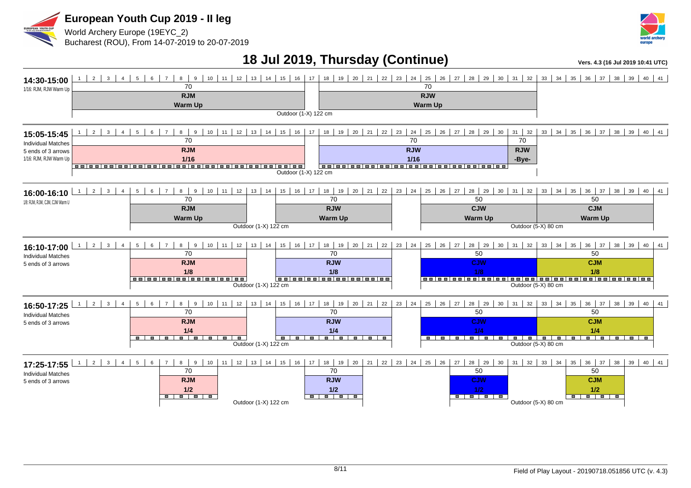



#### **18 Jul 2019, Thursday (Continue)** *Vers. 4.3 (16 Jul 2019 10:41 UTC)*

| 14:30-15:00<br>1/16: RJM, RJW Warm Up                                                                                                   | $2 \mid 3 \mid$<br>$\overline{4}$         | $5\overline{5}$<br>$6 \mid 7$<br>70<br><b>RJM</b><br><b>Warm Up</b>                                                      | Outdoor (1-X) 122 cm                                    |                                                                                               | 70<br><b>RJW</b><br><b>Warm Up</b>                                                         | 8 9 10 11 12 13 14 15 16 17 18 19 20 21 22 23 24 25 26 27 28 29 30 31 32 33 34 35 36 37 38                     |                                                                                                     | 39<br>$40 \mid 41$       |
|-----------------------------------------------------------------------------------------------------------------------------------------|-------------------------------------------|--------------------------------------------------------------------------------------------------------------------------|---------------------------------------------------------|-----------------------------------------------------------------------------------------------|--------------------------------------------------------------------------------------------|----------------------------------------------------------------------------------------------------------------|-----------------------------------------------------------------------------------------------------|--------------------------|
| 15:05-15:45<br><b>Individual Matches</b><br>5 ends of 3 arrows<br>1/16: RJM, RJW Warm Up                                                | $\overline{2}$<br>$\overline{\mathbf{3}}$ | 8 <sup>1</sup><br>9<br>$11$   $12$   $13$  <br>$6\phantom{1}$<br>10<br>5<br>$\overline{7}$<br>70<br><b>RJM</b><br>$1/16$ | $14$ 15 16<br>Outdoor (1-X) 122 cm                      | 19<br>$20 \mid 21$<br>17<br>18                                                                | 22<br>23<br>25<br>26<br>24<br>70<br><b>RJW</b><br>$1/16$<br>------------------------------ | $31 \mid 32$<br>28 29 30<br>27<br>70<br><b>RJW</b><br>-Bye-                                                    | $34$   35   36   37   38   39  <br>33                                                               | $40 \mid 41$             |
| 16:00-16:10<br>1/8: RJM, RJW, CJM, CJW Warm U                                                                                           | $2 \mid 3 \mid 4$                         | $6 \mid 7 \mid$<br>$8 \mid 9$<br>10   11   12   13   14  <br>5 <sub>5</sub><br>70<br><b>RJM</b><br><b>Warm Up</b>        | Outdoor (1-X) 122 cm                                    | 15   16   17   18   19   20   21   22   23   24  <br>70<br><b>RJW</b><br><b>Warm Up</b>       | $25 \mid 26 \mid 27 \mid$                                                                  | $28$ 29<br>$30$ 31 32<br>50<br><b>CJW</b><br><b>Warm Up</b><br>Outdoor (5-X) 80 cm                             | $33 \mid 34 \mid 35 \mid$<br>50<br><b>CJM</b><br><b>Warm Up</b>                                     | 36 37 38 39 40 41        |
| 1<br>16:10-17:00<br><b>Individual Matches</b><br>5 ends of 3 arrows                                                                     | $2 \mid 3 \mid$<br>$\overline{4}$         | $6 \mid 7$<br>8 9<br>$5-1$<br>12<br>10<br>11<br>70<br><b>RJM</b><br>1/8<br>-----------------                             | 13<br>15<br>16<br>14<br>Outdoor (1-X) 122 cm            | 17<br>18<br>19<br>20<br>21<br>70<br><b>RJW</b><br>1/8                                         | 22<br>23<br>24<br>25<br>26                                                                 | 28<br>27<br>29<br>30<br>32<br>31<br>50<br><b>CJW</b><br>1/8<br>Outdoor (5-X) 80 cm                             | $36 \mid 37$<br>33<br>34<br>35<br>50<br><b>CJM</b><br>1/8                                           | 38<br>39<br>$40 \mid 41$ |
| 16:50-17:25<br><b>Individual Matches</b><br>5 ends of 3 arrows                                                                          | $2 \mid 3 \mid$<br>$\overline{4}$         | 8 <sup>1</sup><br>$6 \mid 7$<br>9<br>10<br>$11$ 12<br>5 <sub>5</sub><br>70<br><b>RJM</b><br>1/4<br><b>.</b> .<br>----    | $13 \mid 14 \mid$<br>Outdoor (1-X) 122 cm               | 15   16   17   18   19   20   21  <br>70<br><b>RJW</b><br>1/4                                 | 22<br>$23 \mid 24$<br>$25 \mid 26 \mid 27 \mid$<br>$\overline{\phantom{a}}$                | 28 29<br>30<br>$31 \mid 32$<br>50<br><b>CJW</b><br>1/4<br><b>POST</b><br>$\blacksquare$<br>Outdoor (5-X) 80 cm | $36 \mid 37 \mid 38 \mid 39 \mid$<br>33<br>$34 \mid 35 \mid$<br>50<br><b>CJM</b><br>1/4<br><u>.</u> | 40 41                    |
| 17:25-17:55 $\begin{array}{ c c c c c c c c c }\n\hline\n1 & 2 & 3 & 4\n\end{array}$<br><b>Individual Matches</b><br>5 ends of 3 arrows |                                           | $8 \mid 9$<br>$5 \mid 6 \mid$<br>7 <sup>7</sup><br>10<br>70<br><b>RJM</b><br>1/2<br>- - - - -                            | $11$   12   13   14   15   16  <br>Outdoor (1-X) 122 cm | 17   18   19   20   21   22   23   24   25   26   27  <br>70<br><b>RJW</b><br>1/2<br><b>.</b> |                                                                                            | 28 29 30<br>50<br><b>CJW</b><br>1/2<br>8 8 8 8 8<br>Outdoor (5-X) 80 cm                                        | $31 \mid 32 \mid 33 \mid 34 \mid$<br>50<br><b>CJM</b><br>1/2<br>- - - - -                           | $35$ 36 37 38 39 40 41   |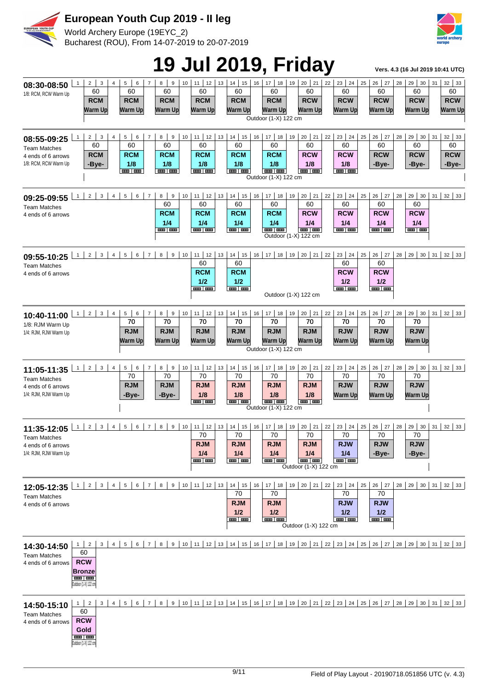

World Archery Europe (19EYC\_2) Bucharest (ROU), From 14-07-2019 to 20-07-2019



# **19 Jul 2019, Friday Vers. 4.3 (16 Jul 2019 10:41 UTC)**

|                                                                                   |                |                                                                                            |                                         |                |                                                             |                |                |                                                                    |                      |                                                             |    |                                                         |    |                                                                                                                           |    |                                                                                                | J  |                                                               |    |                                                      |    |                                                      |    |                                                 |
|-----------------------------------------------------------------------------------|----------------|--------------------------------------------------------------------------------------------|-----------------------------------------|----------------|-------------------------------------------------------------|----------------|----------------|--------------------------------------------------------------------|----------------------|-------------------------------------------------------------|----|---------------------------------------------------------|----|---------------------------------------------------------------------------------------------------------------------------|----|------------------------------------------------------------------------------------------------|----|---------------------------------------------------------------|----|------------------------------------------------------|----|------------------------------------------------------|----|-------------------------------------------------|
| 08:30-08:50<br>1/8: RCM, RCW Warm Up                                              | $\mathbf{1}$   | 2 <sup>1</sup>                                                                             | 3<br>60<br><b>RCM</b><br><b>Warm Up</b> | $\overline{4}$ | 5<br>60<br><b>RCM</b><br>Warm Up                            | 6              | $\overline{7}$ | 8<br>9<br>60<br><b>RCM</b><br>Warm Up                              | 10 <sup>1</sup>      | 12<br>11<br>60<br><b>RCM</b><br><b>Warm Up</b>              | 13 | 14<br>15<br>60<br><b>RCM</b><br><b>Warm Up</b>          | 16 | 17 <sup>1</sup><br>18<br>60<br><b>RCM</b><br><b>Warm Up</b><br>Outdoor (1-X) 122 cm                                       | 19 | $20 \mid 21$<br>60<br><b>RCW</b><br><b>Warm Up</b>                                             | 22 | $23 \mid 24$<br>60<br><b>RCW</b><br><b>Warm Up</b>            | 25 | 26<br>27<br>60<br><b>RCW</b><br>Warm Up              | 28 | 29<br>30<br>60<br><b>RCW</b><br>Warm Up              | 31 | 32 <br>33<br>60<br><b>RCW</b><br><b>Warm Up</b> |
| 08:55-09:25<br><b>Team Matches</b><br>4 ends of 6 arrows<br>1/8: RCM, RCW Warm Up | $\mathbf{1}$   | 2                                                                                          | 3<br>60<br><b>RCM</b><br>-Bye-          | $\overline{4}$ | 5 <sup>1</sup><br>60<br><b>RCM</b><br>1/8<br><b>GER THE</b> | 6              | $\overline{7}$ | 8 <sup>1</sup><br>9<br>60<br><b>RCM</b><br>1/8<br><b>BOOT DOOR</b> | 10 <sup>1</sup>      | 11   12  <br>60<br><b>RCM</b><br>1/8<br><b>BOOT BOOT</b>    | 13 | 14<br>15<br>60<br><b>RCM</b><br>1/8<br><b>BOOT BOOT</b> | 16 | $17$ 18<br>60<br><b>RCM</b><br>1/8<br><b>COLOR COLOR</b><br>Outdoor (1-X) 122 cm                                          | 19 | $20 \mid 21$<br>60<br><b>RCW</b><br>1/8<br><b>THE LINE</b>                                     | 22 | $23 \mid 24$<br>60<br><b>RCW</b><br>1/8<br><b>BOOT ROOM</b>   | 25 | 26<br>27<br>60<br><b>RCW</b><br>-Bye-                | 28 | 29<br>30<br>60<br><b>RCW</b><br>-Bye-                | 31 | 32<br>33<br>60<br><b>RCW</b><br>-Bye-           |
| 09:25-09:55<br><b>Team Matches</b><br>4 ends of 6 arrows                          | $\mathbf{1}$   | $\overline{c}$                                                                             | 3                                       | $\overline{4}$ | 5                                                           | 6              | $\overline{7}$ | 8<br>$\boldsymbol{9}$<br>60<br><b>RCM</b><br>1/4<br><b>BAD 000</b> | 10                   | 11   12  <br>60<br><b>RCM</b><br>1/4<br>and and             | 13 | 14<br>15<br>60<br><b>RCM</b><br>1/4<br><b>BUD 00</b>    | 16 | $17$ 18<br>60<br><b>RCM</b><br>1/4<br><b>SHE BAS</b>                                                                      | 19 | 21<br>20 <sub>1</sub><br>60<br><b>RCW</b><br>1/4<br><b>CONT   CONT</b><br>Outdoor (1-X) 122 cm | 22 | $23 \mid 24$<br>60<br><b>RCW</b><br>1/4<br><b>COLOR COLOR</b> | 25 | 26<br>27<br>60<br><b>RCW</b><br>1/4<br>and and       | 28 | 29<br>30<br>60<br><b>RCW</b><br>1/4<br><b>BIB 00</b> | 31 | 32<br>33                                        |
| 09:55-10:25<br><b>Team Matches</b><br>4 ends of 6 arrows                          | $\mathbf{1}$   | $\overline{2}$                                                                             | $\mathbf 3$                             | $\overline{4}$ | 5                                                           | 6              | $\overline{7}$ | 8<br>9                                                             | 10 <sup>1</sup>      | 11   12<br>60<br><b>RCM</b><br>1/2<br>an an                 | 13 | 14<br>15<br>60<br><b>RCM</b><br>1/2<br><b>BOOT DOOR</b> | 16 | $17$ 18                                                                                                                   |    | $19 \mid 20 \mid 21 \mid 22$<br>Outdoor (1-X) 122 cm                                           |    | $23 \mid 24$<br>60<br><b>RCW</b><br>1/2<br>and and            | 25 | $26$   27<br>60<br><b>RCW</b><br>1/2<br>and and      | 28 | 29<br>30                                             | 31 | 32<br>33                                        |
| 10:40-11:00<br>1/8: RJM Warm Up<br>1/4: RJM, RJW Warm Up                          | $\mathbf{1}$   | 2                                                                                          | 3 <sup>7</sup>                          | $\overline{4}$ | $5 \mid$<br>70<br><b>RJM</b><br>Warm Up                     | 6              | $\overline{7}$ | 8 <sup>1</sup><br>9<br>70<br><b>RJM</b><br>Warm Up                 | 10                   | $11$   12  <br>70<br><b>RJM</b><br>Warm Up                  | 13 | $14 \mid 15$<br>70<br><b>RJM</b><br>Warm Up             | 16 | $17$ 18<br>70<br><b>RJM</b><br><b>Warm Up</b><br>Outdoor (1-X) 122 cm                                                     | 19 | $20 \mid 21$<br>70<br><b>RJM</b><br><b>Warm Up</b>                                             | 22 | $23 \mid 24 \mid$<br>70<br><b>RJW</b><br><b>Warm Up</b>       | 25 | $26$ 27<br>70<br><b>RJW</b><br>Warm Up               | 28 | 29 30<br>70<br><b>RJW</b><br>Warm Up                 | 31 | $32 \mid 33$                                    |
| 11:05-11:35<br><b>Team Matches</b><br>4 ends of 6 arrows<br>1/4: RJM, RJW Warm Up | $\mathbf{1}$   | 2                                                                                          | 3 <sup>1</sup>                          | $\overline{4}$ | 5 <sup>1</sup><br>70<br><b>RJM</b><br>-Bye-                 | 6              | $\overline{7}$ | 8 <sup>1</sup><br>9<br>70<br><b>RJM</b><br>-Bye-                   | 10                   | 11   12   13  <br>70<br><b>RJM</b><br>1/8<br><b>BAR BAR</b> |    | $14$ 15<br>70<br><b>RJM</b><br>1/8<br><b>BOOT BOOT</b>  | 16 | $17$ 18<br>70<br><b>RJM</b><br>1/8<br><b>BEET BEET</b><br>Outdoor (1-X) 122 cm                                            | 19 | 20   21   22  <br>70<br><b>RJM</b><br>1/8<br><b>COLORED TO BE AN</b>                           |    | $23 \mid 24 \mid$<br>70<br><b>RJW</b><br><b>Warm Up</b>       | 25 | $26 \mid 27$<br>70<br><b>RJW</b><br>Warm Up          | 28 | 29 30<br>70<br><b>RJW</b><br><b>Warm Up</b>          | 31 | $32 \mid 33$                                    |
| 11:35-12:05<br><b>Team Matches</b><br>4 ends of 6 arrows<br>1/4: RJM, RJW Warm Up | $\mathbf{1}$   | $2^{\circ}$                                                                                | 3                                       | $\overline{4}$ | 5                                                           | 6              | $\overline{7}$ | 8                                                                  | 9<br>10 <sup>1</sup> | $11$ 12<br>70<br><b>RJM</b><br>1/4<br>an   an               | 13 | 14<br>15<br>70<br><b>RJM</b><br>1/4<br><b>HERE HERE</b> | 16 | $17$ 18<br>70<br><b>RJM</b><br>1/4<br>$\mathbf{m}$ and                                                                    | 19 | $20 \mid 21$<br>70<br><b>RJM</b><br>1/4<br><b>BOD BOD</b><br>Outdoor (1-X) 122 cm              | 22 | $23 \mid 24 \mid$<br>70<br><b>RJW</b><br>1/4<br>$\frac{1}{2}$ | 25 | $26$ 27<br>70<br><b>RJW</b><br>-Bye-                 | 28 | 29<br>30<br>70<br><b>RJW</b><br>-Bye-                | 31 | 32<br>33                                        |
| 12:05-12:35<br><b>Team Matches</b><br>4 ends of 6 arrows                          | $1 \mid$       | 2 <sup>1</sup>                                                                             | 3 <sup>1</sup>                          |                | $4 \mid 5 \mid$                                             |                |                |                                                                    |                      | $6$   7   8   9   10   11   12   13                         |    | $14$ 15<br>70<br><b>RJM</b><br>1/2<br><b>HILL ROOM</b>  | 16 | $17$ 18<br>70<br><b>RJM</b><br>1/2<br><b>BRE 198</b>                                                                      |    | $19 \mid 20 \mid 21 \mid 22$<br>Outdoor (1-X) 122 cm                                           |    | $23 \mid 24 \mid$<br>70<br><b>RJW</b><br>1/2<br>and and       | 25 | $26$ 27<br>70<br><b>RJW</b><br>1/2<br><b>BIB BIB</b> | 28 | $29 \mid 30 \mid 31 \mid 32 \mid 33$                 |    |                                                 |
| 14:30-14:50<br><b>Team Matches</b><br>4 ends of 6 arrows                          |                | $1 \mid 2$<br>60<br><b>RCW</b><br><b>Bronze</b><br><b>um</b>   and<br>Outdoor (1-X) 122 cm | 3 <sup>1</sup>                          | $\overline{4}$ | 5 <sup>1</sup>                                              | 6 <sup>1</sup> | 7 <sup>1</sup> | 8 <sup>1</sup>                                                     |                      |                                                             |    |                                                         |    | 9   10   11   12   13   14   15   16   17   18   19   20   21   22   23   24   25   26   27   28   29   30   31   32   33 |    |                                                                                                |    |                                                               |    |                                                      |    |                                                      |    |                                                 |
| 14:50-15:10<br><b>Team Matches</b><br>4 ends of 6 arrows                          | 1 <sup>1</sup> | $\overline{2}$<br>60<br><b>RCW</b><br>Gold<br>an an<br>Outdoor (1-X) 122 cm                | 3                                       | $4 \mid$       | 5 <sup>1</sup>                                              |                |                |                                                                    |                      |                                                             |    |                                                         |    | 6 7 8 9 10 11 12 13 14 15 16 17 18 19 20 21 22 23 24 25 26 27 28 29 30 31 32 33                                           |    |                                                                                                |    |                                                               |    |                                                      |    |                                                      |    |                                                 |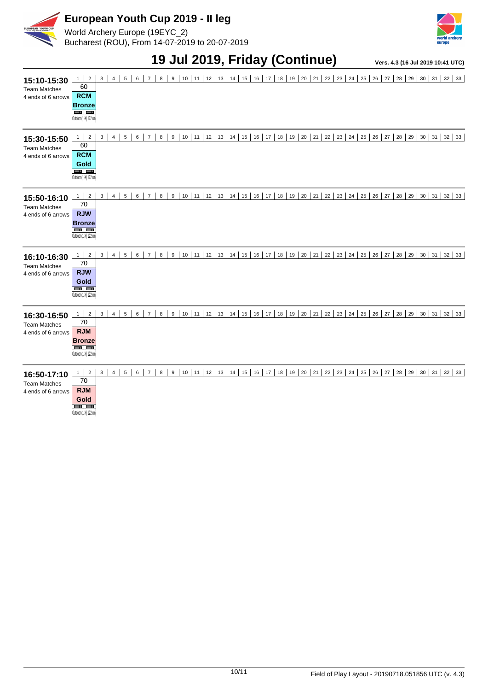

World Archery Europe (19EYC\_2) Bucharest (ROU), From 14-07-2019 to 20-07-2019



#### **19 Jul 2019, Friday (Continue) Vers. 4.3 (16 Jul 2019 10:41 UTC)**

| 15:10-15:30<br><b>Team Matches</b><br>4 ends of 6 arrows | $\overline{2}$<br>$\mathbf{1}$<br>60<br><b>RCM</b><br><b>Bronze</b><br>$\overline{\phantom{a}}$<br>Outdoor (1-X) 122 cm | 3<br>$\overline{4}$ | 5<br>6 | 8<br>$\overline{7}$ | 9                | 10<br>11   | 12<br>13              | 14<br>15 | 16<br>17 | 18<br>19 | 21<br>20 | 23<br>24<br>22 | 25<br>26 | 27 | 28<br>29       | $30 \mid 31 \mid$ | 32<br>33 |
|----------------------------------------------------------|-------------------------------------------------------------------------------------------------------------------------|---------------------|--------|---------------------|------------------|------------|-----------------------|----------|----------|----------|----------|----------------|----------|----|----------------|-------------------|----------|
| 15:30-15:50<br><b>Team Matches</b><br>4 ends of 6 arrows | $1 \mid$<br>$\overline{2}$<br>60<br><b>RCM</b><br>Gold<br>and an<br>Outdoor (1-X) 122 cm                                | 3<br>4              | 5<br>6 | $\overline{7}$<br>8 | 9                | 10<br>11   | 12<br>13              | 14<br>15 | 16<br>17 | 18<br>19 | 20<br>21 | 22<br>23<br>24 | 25<br>26 | 27 | 28<br>29<br>30 | 31                | 32<br>33 |
| 15:50-16:10<br><b>Team Matches</b><br>4 ends of 6 arrows | $\overline{2}$<br>1<br>70<br><b>RJW</b><br><b>Bronze</b><br><b>BRET BER</b><br>Outdoor (1-X) 122 cm                     | 3<br>$\overline{4}$ | 5<br>6 | $\overline{7}$<br>8 | $\boldsymbol{9}$ | 10<br>11   | 13 14 <br>12          | 15       | 16<br>17 | 18<br>19 | 20<br>21 | 22<br>23<br>24 | 25<br>26 | 27 | 28<br>29<br>30 | 31                | 32<br>33 |
| 16:10-16:30<br><b>Team Matches</b><br>4 ends of 6 arrows | $1 \vert$<br>$\sqrt{2}$<br>70<br><b>RJW</b><br>Gold<br>and Lane<br>Outdoor (1-X) 122 cm                                 | 3<br>4              | 5<br>6 | $\overline{7}$<br>8 | $\mathsf g$      | $10$<br>11 | 12<br>13              | 14<br>15 | 17<br>16 | 18<br>19 | 21<br>20 | 22<br>23<br>24 | 25<br>26 | 27 | 28<br>29<br>30 | 31                | 32<br>33 |
| 16:30-16:50<br><b>Team Matches</b><br>4 ends of 6 arrows | $\overline{2}$<br>$\mathbf{1}$<br>70<br><b>RJM</b><br><b>Bronze</b><br>and an<br>Outdoor (1-X) 122 cm                   | 3<br>4              | 5<br>6 | $\overline{7}$<br>8 | 9                | 10<br>11   | 12<br>13              | 14<br>15 | 16<br>17 | 18<br>19 | 20<br>21 | 22<br>23<br>24 | 25<br>26 | 27 | 28<br>29       | 30<br>31          | 32<br>33 |
| 16:50-17:10<br><b>Team Matches</b><br>4 ends of 6 arrows | $1 \mid$<br>$\overline{2}$<br>70<br><b>RJM</b><br>Gold<br><b>THE REAL</b><br>Outdoor (1-X) 122 cm                       | 3<br>4              | 5<br>6 | $\overline{7}$<br>8 | 9                | 10<br>11   | 12<br>13 <sup>1</sup> | 14<br>15 | 16<br>17 | 18<br>19 | 20<br>21 | 22<br>23<br>24 | 25<br>26 | 27 | 28<br>29       | 30<br>31          | 32<br>33 |